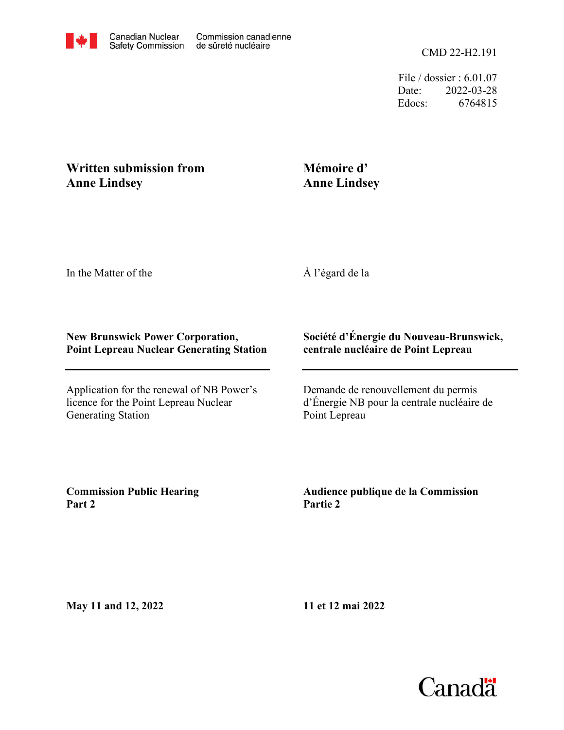File / dossier : 6.01.07 Date: 2022-03-28 Edocs: 6764815

## **Written submission from Anne Lindsey**

# **Mémoire d' Anne Lindsey**

In the Matter of the

À l'égard de la

#### **New Brunswick Power Corporation, Point Lepreau Nuclear Generating Station**

Application for the renewal of NB Power's licence for the Point Lepreau Nuclear Generating Station

## **Société d'Énergie du Nouveau-Brunswick, centrale nucléaire de Point Lepreau**

Demande de renouvellement du permis d'Énergie NB pour la centrale nucléaire de Point Lepreau

**Commission Public Hearing Part 2**

**Audience publique de la Commission Partie 2**

**May 11 and 12, 2022**

**11 et 12 mai 2022**

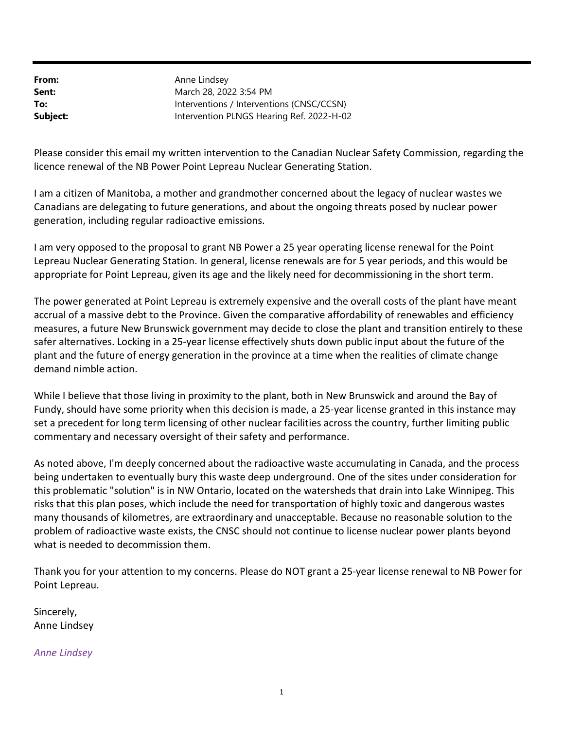From: Sent: To: Subject: Intervention PLNGS Hearing Ref. 2022-H-02 Interventions / Interventions (CNSC/CCSN) March 28, 2022 3:54 PM Anne Lindsey

Please consider this email my written intervention to the Canadian Nuclear Safety Commission, regarding the licence renewal of the NB Power Point Lepreau Nuclear Generating Station.

I am a citizen of Manitoba, a mother and grandmother concerned about the legacy of nuclear wastes we Canadians are delegating to future generations, and about the ongoing threats posed by nuclear power generation, including regular radioactive emissions.

I am very opposed to the proposal to grant NB Power a 25 year operating license renewal for the Point Lepreau Nuclear Generating Station. In general, license renewals are for 5 year periods, and this would be appropriate for Point Lepreau, given its age and the likely need for decommissioning in the short term.

The power generated at Point Lepreau is extremely expensive and the overall costs of the plant have meant accrual of a massive debt to the Province. Given the comparative affordability of renewables and efficiency measures, a future New Brunswick government may decide to close the plant and transition entirely to these safer alternatives. Locking in a 25-year license effectively shuts down public input about the future of the plant and the future of energy generation in the province at a time when the realities of climate change demand nimble action.

While I believe that those living in proximity to the plant, both in New Brunswick and around the Bay of Fundy, should have some priority when this decision is made, a 25-year license granted in this instance may set a precedent for long term licensing of other nuclear facilities across the country, further limiting public commentary and necessary oversight of their safety and performance.

As noted above, I'm deeply concerned about the radioactive waste accumulating in Canada, and the process being undertaken to eventually bury this waste deep underground. One of the sites under consideration for this problematic "solution" is in NW Ontario, located on the watersheds that drain into Lake Winnipeg. This risks that this plan poses, which include the need for transportation of highly toxic and dangerous wastes many thousands of kilometres, are extraordinary and unacceptable. Because no reasonable solution to the problem of radioactive waste exists, the CNSC should not continue to license nuclear power plants beyond what is needed to decommission them.

Thank you for your attention to my concerns. Please do NOT grant a 25-year license renewal to NB Power for Point Lepreau.

Sincerely, Anne Lindsey

Anne Lindsey